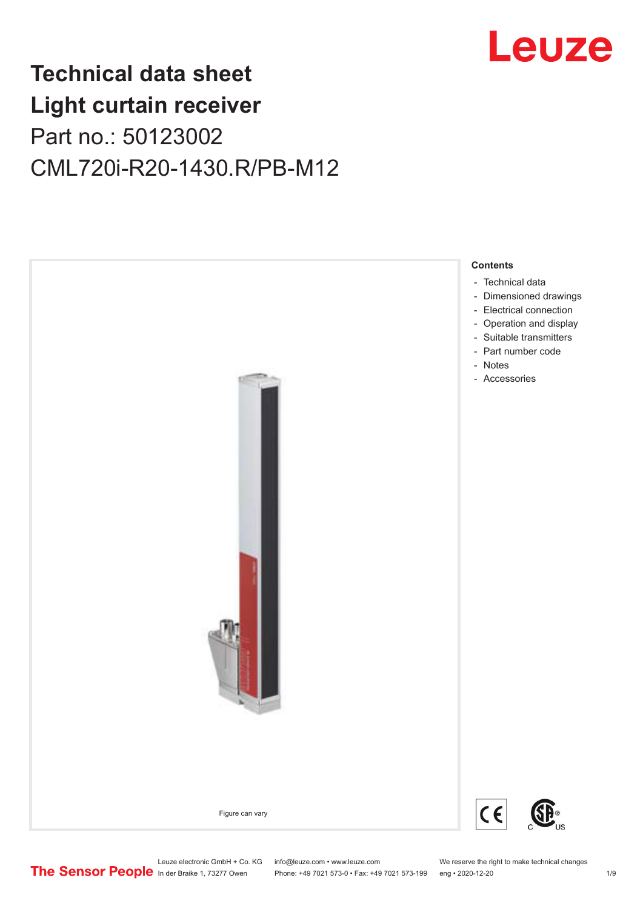

## **Technical data sheet Light curtain receiver** Part no.: 50123002 CML720i-R20-1430.R/PB-M12



Leuze electronic GmbH + Co. KG info@leuze.com • www.leuze.com We reserve the right to make technical changes<br>
The Sensor People in der Braike 1, 73277 Owen Phone: +49 7021 573-0 • Fax: +49 7021 573-199 eng • 2020-12-20 Phone: +49 7021 573-0 • Fax: +49 7021 573-199 eng • 2020-12-20 1 2020-12-20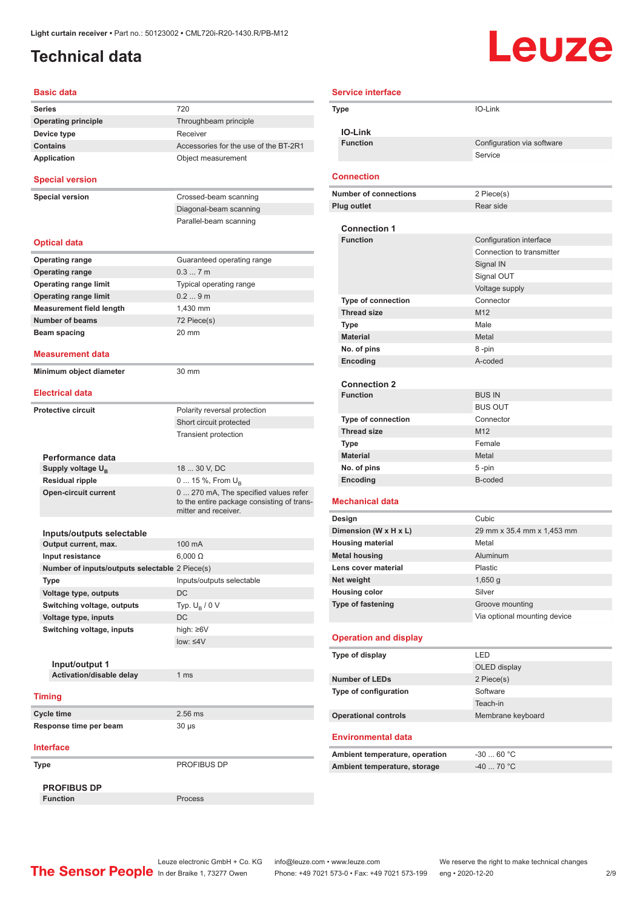### <span id="page-1-0"></span>**Technical data**

# **Leuze**

| <b>Basic data</b>                                 |                                                                                                             |
|---------------------------------------------------|-------------------------------------------------------------------------------------------------------------|
| <b>Series</b>                                     | 720                                                                                                         |
| <b>Operating principle</b>                        | Throughbeam principle                                                                                       |
| Device type                                       | Receiver                                                                                                    |
| <b>Contains</b>                                   | Accessories for the use of the BT-2R1                                                                       |
| <b>Application</b>                                | Object measurement                                                                                          |
| <b>Special version</b>                            |                                                                                                             |
| <b>Special version</b>                            | Crossed-beam scanning                                                                                       |
|                                                   | Diagonal-beam scanning                                                                                      |
|                                                   | Parallel-beam scanning                                                                                      |
| <b>Optical data</b>                               |                                                                                                             |
| <b>Operating range</b>                            | Guaranteed operating range                                                                                  |
| <b>Operating range</b>                            | 0.37m                                                                                                       |
| <b>Operating range limit</b>                      | Typical operating range                                                                                     |
| <b>Operating range limit</b>                      | 0.29m                                                                                                       |
| <b>Measurement field length</b>                   | 1,430 mm                                                                                                    |
| <b>Number of beams</b>                            | 72 Piece(s)                                                                                                 |
| Beam spacing                                      | 20 mm                                                                                                       |
|                                                   |                                                                                                             |
| Measurement data<br>Minimum object diameter       | 30 mm                                                                                                       |
|                                                   |                                                                                                             |
| <b>Electrical data</b>                            |                                                                                                             |
| <b>Protective circuit</b>                         | Polarity reversal protection                                                                                |
|                                                   | Short circuit protected                                                                                     |
|                                                   | <b>Transient protection</b>                                                                                 |
| Performance data                                  |                                                                                                             |
| Supply voltage U <sub>B</sub>                     | 18  30 V, DC                                                                                                |
| <b>Residual ripple</b>                            | 0  15 %, From $U_{\rm B}$                                                                                   |
| <b>Open-circuit current</b>                       | 0  270 mA, The specified values refer<br>to the entire package consisting of trans-<br>mitter and receiver. |
|                                                   |                                                                                                             |
| Inputs/outputs selectable<br>Output current, max. | 100 mA                                                                                                      |
| Input resistance                                  | $6.000 \Omega$                                                                                              |
| Number of inputs/outputs selectable 2 Piece(s)    |                                                                                                             |
| Type                                              | Inputs/outputs selectable                                                                                   |
| Voltage type, outputs                             | DC                                                                                                          |
| Switching voltage, outputs                        | Typ. $U_R / 0 V$                                                                                            |
| Voltage type, inputs                              | DC                                                                                                          |
| Switching voltage, inputs                         | high: ≥6V                                                                                                   |
|                                                   | low: $\leq 4V$                                                                                              |
|                                                   |                                                                                                             |
| Input/output 1                                    |                                                                                                             |
| Activation/disable delay                          | 1 <sub>ms</sub>                                                                                             |
|                                                   |                                                                                                             |
| <b>Timing</b>                                     |                                                                                                             |
| <b>Cycle time</b>                                 | 2.56 ms                                                                                                     |
| Response time per beam                            | 30 µs                                                                                                       |
| <b>Interface</b>                                  |                                                                                                             |
| Type                                              | PROFIBUS DP                                                                                                 |
| <b>PROFIBUS DP</b>                                |                                                                                                             |
| <b>Function</b>                                   | Process                                                                                                     |

| <b>Service interface</b>       |                              |
|--------------------------------|------------------------------|
| Type                           | IO-Link                      |
|                                |                              |
| <b>IO-Link</b>                 |                              |
| <b>Function</b>                | Configuration via software   |
|                                | Service                      |
| <b>Connection</b>              |                              |
| <b>Number of connections</b>   | 2 Piece(s)                   |
| <b>Plug outlet</b>             | Rear side                    |
|                                |                              |
| <b>Connection 1</b>            |                              |
| <b>Function</b>                | Configuration interface      |
|                                | Connection to transmitter    |
|                                | Signal IN                    |
|                                | Signal OUT                   |
| <b>Type of connection</b>      | Voltage supply<br>Connector  |
| <b>Thread size</b>             | M <sub>12</sub>              |
| <b>Type</b>                    | Male                         |
| <b>Material</b>                | Metal                        |
| No. of pins                    | 8-pin                        |
| Encoding                       | A-coded                      |
|                                |                              |
| <b>Connection 2</b>            |                              |
| <b>Function</b>                | <b>BUS IN</b>                |
|                                | <b>BUS OUT</b>               |
| <b>Type of connection</b>      | Connector                    |
| <b>Thread size</b>             | M <sub>12</sub>              |
| Type                           | Female                       |
| <b>Material</b>                | Metal                        |
| No. of pins                    | $5 - pin$                    |
| Encoding                       | B-coded                      |
| <b>Mechanical data</b>         |                              |
| Design                         | Cubic                        |
| Dimension (W x H x L)          | 29 mm x 35.4 mm x 1,453 mm   |
| <b>Housing material</b>        | Metal                        |
| <b>Metal housing</b>           | Aluminum                     |
| Lens cover material            | Plastic                      |
| Net weight                     | $1,650$ g                    |
| <b>Housing color</b>           | Silver                       |
| <b>Type of fastening</b>       | Groove mounting              |
|                                | Via optional mounting device |
| <b>Operation and display</b>   |                              |
| Type of display                | LED                          |
|                                | OLED display                 |
| <b>Number of LEDs</b>          | 2 Piece(s)                   |
| Type of configuration          | Software                     |
|                                | Teach-in                     |
| <b>Operational controls</b>    | Membrane keyboard            |
|                                |                              |
| <b>Environmental data</b>      |                              |
| Ambient temperature, operation | $-3060 °C$                   |
| Ambient temperature, storage   | $-40$ 70 °C                  |
|                                |                              |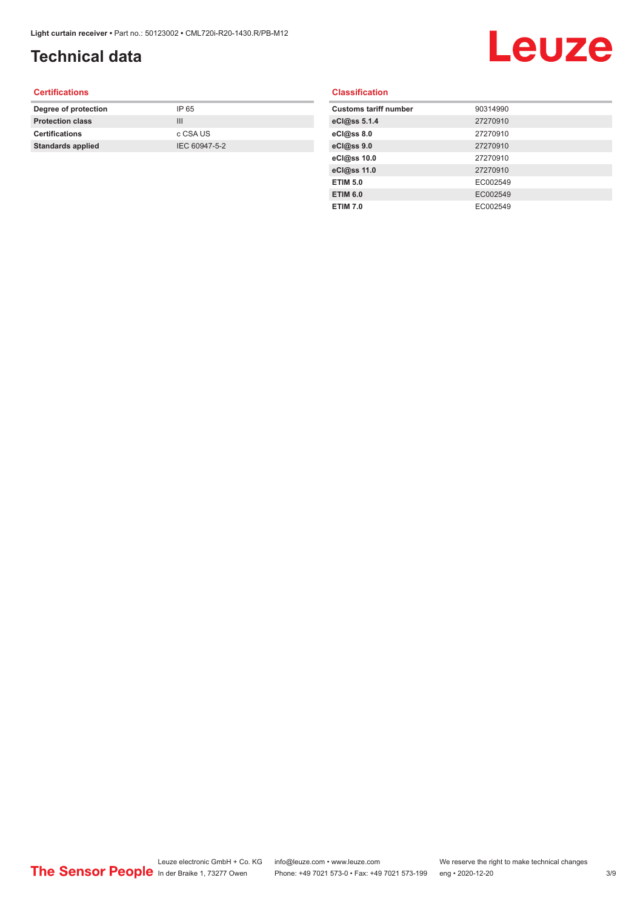### **Technical data**

## Leuze

#### **Certifications**

| Degree of protection     | IP 65         |
|--------------------------|---------------|
| <b>Protection class</b>  | Ш             |
| <b>Certifications</b>    | c CSA US      |
| <b>Standards applied</b> | IEC 60947-5-2 |
|                          |               |

#### **Classification**

| <b>Customs tariff number</b> | 90314990 |
|------------------------------|----------|
| eCl@ss 5.1.4                 | 27270910 |
| eCl@ss 8.0                   | 27270910 |
| eCl@ss 9.0                   | 27270910 |
| eCl@ss 10.0                  | 27270910 |
| eCl@ss 11.0                  | 27270910 |
| <b>ETIM 5.0</b>              | EC002549 |
| <b>ETIM 6.0</b>              | EC002549 |
| <b>ETIM 7.0</b>              | EC002549 |
|                              |          |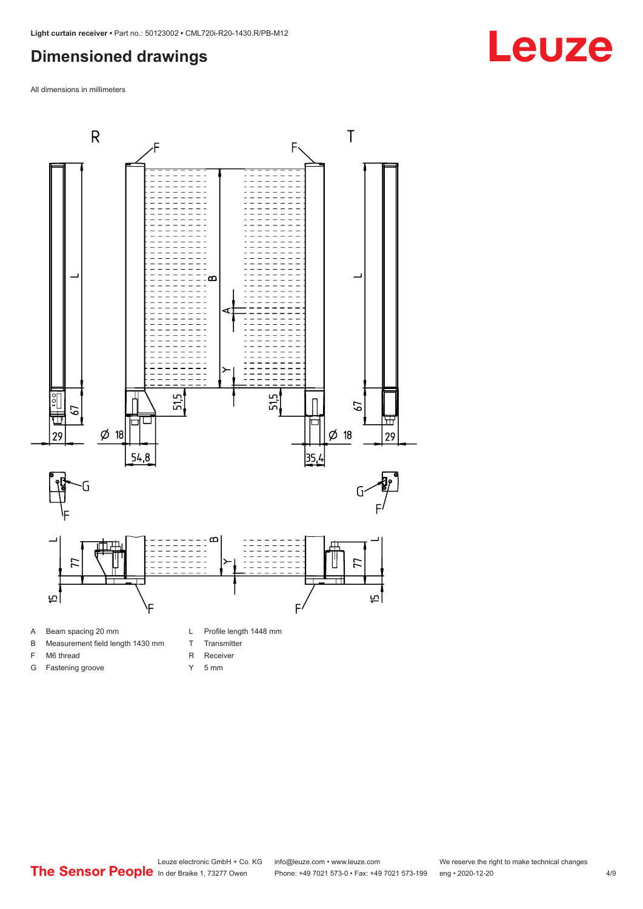#### <span id="page-3-0"></span>**Dimensioned drawings**

All dimensions in millimeters



- 
- B Measurement field length 1430 mm
- F M6 thread G Fastening groove
- 
- T Transmitter
- R Receiver
- Y 5 mm



## **Leuze**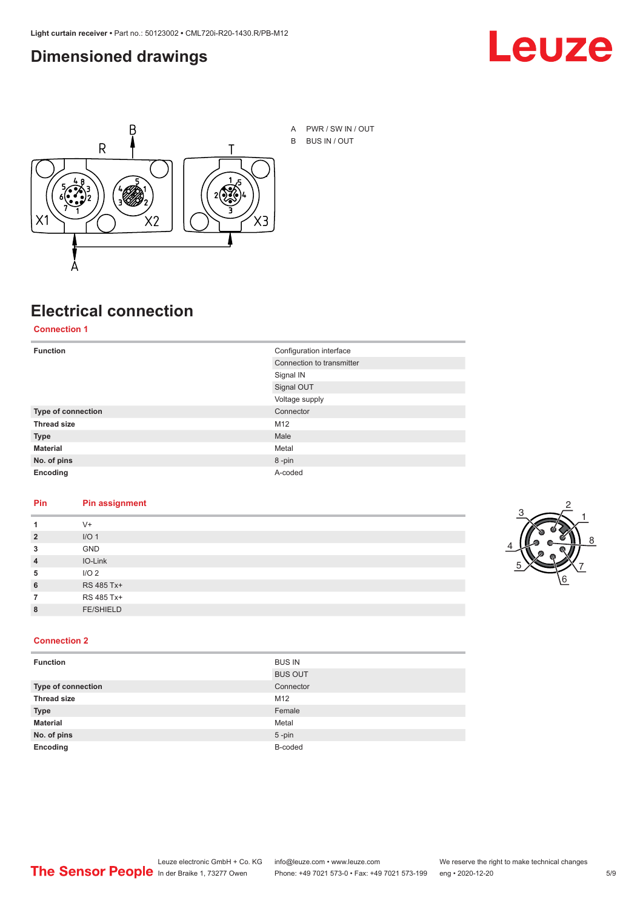#### <span id="page-4-0"></span>**Dimensioned drawings**





## **Electrical connection**

**Connection 1**

| <b>Function</b>    | Configuration interface   |
|--------------------|---------------------------|
|                    | Connection to transmitter |
|                    | Signal IN                 |
|                    | Signal OUT                |
|                    | Voltage supply            |
| Type of connection | Connector                 |
| <b>Thread size</b> | M12                       |
| <b>Type</b>        | Male                      |
| <b>Material</b>    | Metal                     |
| No. of pins        | 8-pin                     |
| Encoding           | A-coded                   |

#### **Pin Pin assignment**

| 1              | $V +$            |  |  |
|----------------|------------------|--|--|
| $\overline{2}$ | I/O <sub>1</sub> |  |  |
| 3              | <b>GND</b>       |  |  |
| $\overline{4}$ | IO-Link          |  |  |
| 5              | I/O <sub>2</sub> |  |  |
| 6              | RS 485 Tx+       |  |  |
| 7              | RS 485 Tx+       |  |  |
| 8              | <b>FE/SHIELD</b> |  |  |
|                |                  |  |  |



#### **Connection 2**

| <b>Function</b>    | <b>BUS IN</b>  |
|--------------------|----------------|
|                    | <b>BUS OUT</b> |
| Type of connection | Connector      |
| <b>Thread size</b> | M12            |
| <b>Type</b>        | Female         |
| <b>Material</b>    | Metal          |
| No. of pins        | $5$ -pin       |
| Encoding           | B-coded        |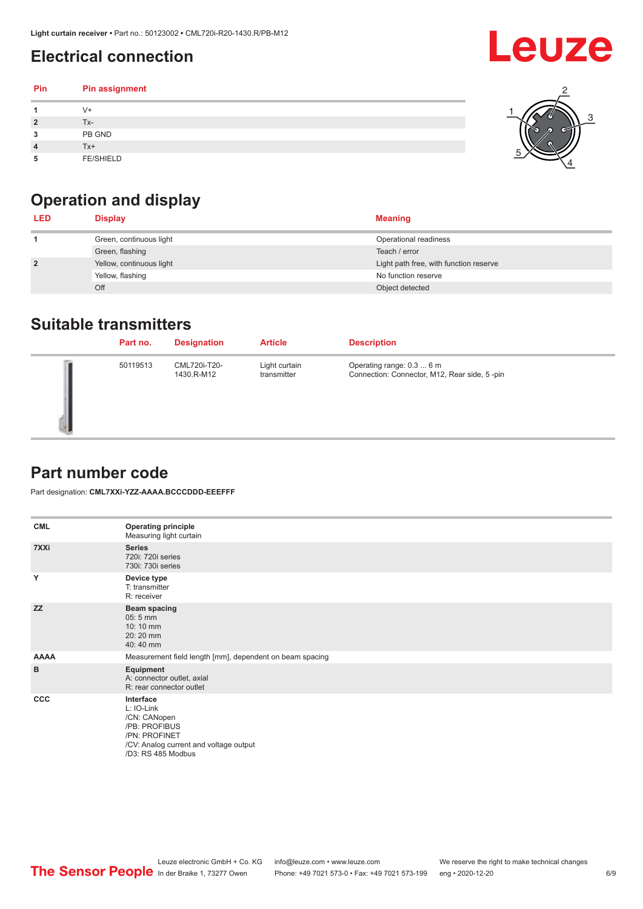### <span id="page-5-0"></span>**Electrical connection**

#### **Pin Pin assignment 1** V+ **2** Tx-**3** PB GND **4** Tx+ **5** FE/SHIELD 3 2 1 5 4

## **Operation and display**

| <b>LED</b>     | <b>Display</b>           | <b>Meaning</b>                         |
|----------------|--------------------------|----------------------------------------|
|                | Green, continuous light  | Operational readiness                  |
|                | Green, flashing          | Teach / error                          |
| $\overline{2}$ | Yellow, continuous light | Light path free, with function reserve |
|                | Yellow, flashing         | No function reserve                    |
|                | Off                      | Object detected                        |

#### **Suitable transmitters**

| Part no. | <b>Designation</b>         | <b>Article</b>               | <b>Description</b>                                                        |
|----------|----------------------------|------------------------------|---------------------------------------------------------------------------|
| 50119513 | CML720i-T20-<br>1430.R-M12 | Light curtain<br>transmitter | Operating range: 0.3  6 m<br>Connection: Connector, M12, Rear side, 5-pin |

#### **Part number code**

Part designation: **CML7XXi-YZZ-AAAA.BCCCDDD-EEEFFF**

| <b>CML</b>  | <b>Operating principle</b><br>Measuring light curtain                                                                                     |
|-------------|-------------------------------------------------------------------------------------------------------------------------------------------|
| 7XXi        | <b>Series</b><br>720i: 720i series<br>730i: 730i series                                                                                   |
| Y           | Device type<br>T: transmitter<br>R: receiver                                                                                              |
| <b>ZZ</b>   | <b>Beam spacing</b><br>$05:5$ mm<br>10:10 mm<br>20:20 mm<br>40:40 mm                                                                      |
| <b>AAAA</b> | Measurement field length [mm], dependent on beam spacing                                                                                  |
| B           | Equipment<br>A: connector outlet, axial<br>R: rear connector outlet                                                                       |
| <b>CCC</b>  | Interface<br>L: IO-Link<br>/CN: CANopen<br>/PB: PROFIBUS<br>/PN: PROFINET<br>/CV: Analog current and voltage output<br>/D3: RS 485 Modbus |



# Leuze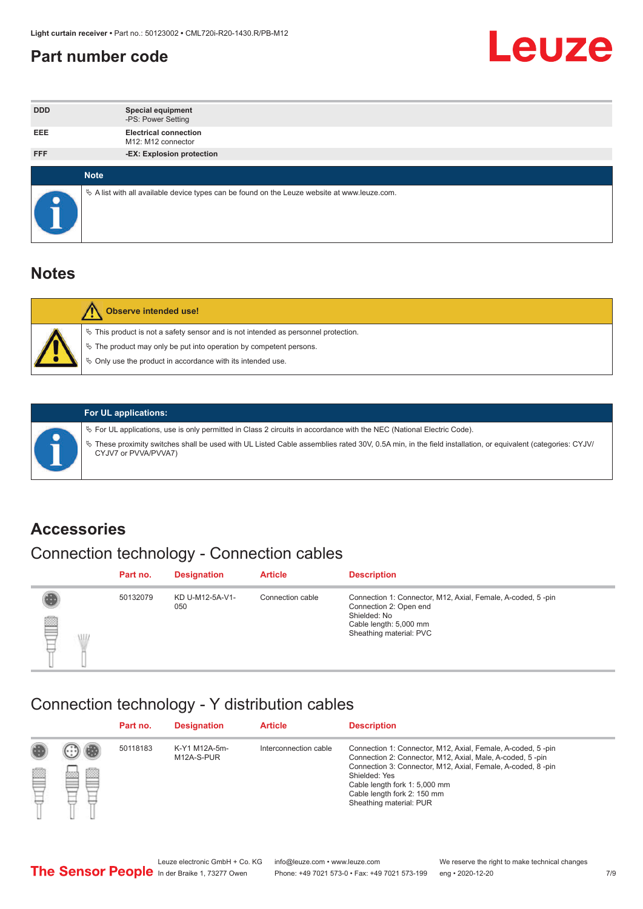#### <span id="page-6-0"></span>**Part number code**



| <b>DDD</b> | <b>Special equipment</b><br>-PS: Power Setting                                                    |  |
|------------|---------------------------------------------------------------------------------------------------|--|
| <b>EEE</b> | <b>Electrical connection</b><br>M12: M12 connector                                                |  |
| <b>FFF</b> | -EX: Explosion protection                                                                         |  |
|            |                                                                                                   |  |
|            | <b>Note</b>                                                                                       |  |
| œ          | Vector A list with all available device types can be found on the Leuze website at www.leuze.com. |  |

#### **Notes**

| Observe intended use!                                                                                                                                                                                                            |
|----------------------------------------------------------------------------------------------------------------------------------------------------------------------------------------------------------------------------------|
| $\%$ This product is not a safety sensor and is not intended as personnel protection.<br>$\%$ The product may only be put into operation by competent persons.<br>$\%$ Only use the product in accordance with its intended use. |
|                                                                                                                                                                                                                                  |



#### **For UL applications:**

ª For UL applications, use is only permitted in Class 2 circuits in accordance with the NEC (National Electric Code). ª These proximity switches shall be used with UL Listed Cable assemblies rated 30V, 0.5A min, in the field installation, or equivalent (categories: CYJV/ CYJV7 or PVVA/PVVA7)

#### **Accessories**

### Connection technology - Connection cables

|        | Part no. | <b>Designation</b>     | <b>Article</b>   | <b>Description</b>                                                                                                                                         |
|--------|----------|------------------------|------------------|------------------------------------------------------------------------------------------------------------------------------------------------------------|
| 2<br>W | 50132079 | KD U-M12-5A-V1-<br>050 | Connection cable | Connection 1: Connector, M12, Axial, Female, A-coded, 5-pin<br>Connection 2: Open end<br>Shielded: No<br>Cable length: 5,000 mm<br>Sheathing material: PVC |

#### Connection technology - Y distribution cables

|             |   | Part no. | <b>Designation</b>          | <b>Article</b>        | <b>Description</b>                                                                                                                                                                                                                                                                                  |
|-------------|---|----------|-----------------------------|-----------------------|-----------------------------------------------------------------------------------------------------------------------------------------------------------------------------------------------------------------------------------------------------------------------------------------------------|
| 圔<br>⋿<br>٣ | Ø | 50118183 | K-Y1 M12A-5m-<br>M12A-S-PUR | Interconnection cable | Connection 1: Connector, M12, Axial, Female, A-coded, 5-pin<br>Connection 2: Connector, M12, Axial, Male, A-coded, 5-pin<br>Connection 3: Connector, M12, Axial, Female, A-coded, 8-pin<br>Shielded: Yes<br>Cable length fork 1: 5,000 mm<br>Cable length fork 2: 150 mm<br>Sheathing material: PUR |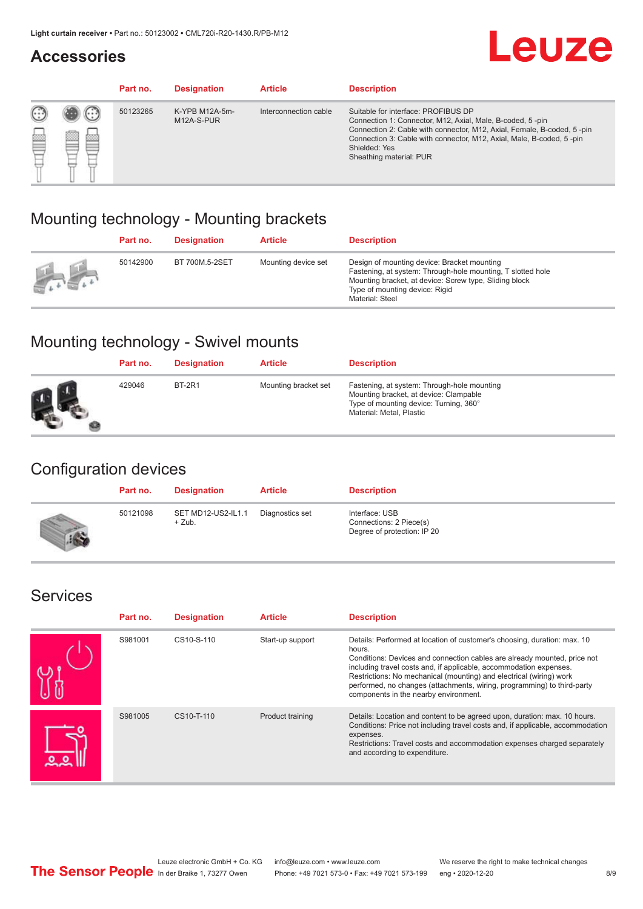#### **Accessories**

## **Leuze**

|     |         | Part no. | <b>Designation</b>           | <b>Article</b>        | <b>Description</b>                                                                                                                                                                                                                                                                             |
|-----|---------|----------|------------------------------|-----------------------|------------------------------------------------------------------------------------------------------------------------------------------------------------------------------------------------------------------------------------------------------------------------------------------------|
| 622 | ×<br>65 | 50123265 | K-YPB M12A-5m-<br>M12A-S-PUR | Interconnection cable | Suitable for interface: PROFIBUS DP<br>Connection 1: Connector, M12, Axial, Male, B-coded, 5-pin<br>Connection 2: Cable with connector, M12, Axial, Female, B-coded, 5-pin<br>Connection 3: Cable with connector, M12, Axial, Male, B-coded, 5-pin<br>Shielded: Yes<br>Sheathing material: PUR |

#### Mounting technology - Mounting brackets

|               | Part no. | <b>Designation</b> | <b>Article</b>      | <b>Description</b>                                                                                                                                                                                                        |
|---------------|----------|--------------------|---------------------|---------------------------------------------------------------------------------------------------------------------------------------------------------------------------------------------------------------------------|
| $\frac{1}{2}$ | 50142900 | BT 700M.5-2SET     | Mounting device set | Design of mounting device: Bracket mounting<br>Fastening, at system: Through-hole mounting, T slotted hole<br>Mounting bracket, at device: Screw type, Sliding block<br>Type of mounting device: Rigid<br>Material: Steel |

### Mounting technology - Swivel mounts

| Part no. | <b>Designation</b> | <b>Article</b>       | <b>Description</b>                                                                                                                                          |
|----------|--------------------|----------------------|-------------------------------------------------------------------------------------------------------------------------------------------------------------|
| 429046   | <b>BT-2R1</b>      | Mounting bracket set | Fastening, at system: Through-hole mounting<br>Mounting bracket, at device: Clampable<br>Type of mounting device: Turning, 360°<br>Material: Metal, Plastic |

#### Configuration devices

| Part no. | <b>Designation</b>             | <b>Article</b>  | <b>Description</b>                                                       |
|----------|--------------------------------|-----------------|--------------------------------------------------------------------------|
| 50121098 | SET MD12-US2-IL1.1<br>$+$ Zub. | Diagnostics set | Interface: USB<br>Connections: 2 Piece(s)<br>Degree of protection: IP 20 |

#### Services

| Part no. | <b>Designation</b> | <b>Article</b>   | <b>Description</b>                                                                                                                                                                                                                                                                                                                                                                                                              |
|----------|--------------------|------------------|---------------------------------------------------------------------------------------------------------------------------------------------------------------------------------------------------------------------------------------------------------------------------------------------------------------------------------------------------------------------------------------------------------------------------------|
| S981001  | CS10-S-110         | Start-up support | Details: Performed at location of customer's choosing, duration: max. 10<br>hours.<br>Conditions: Devices and connection cables are already mounted, price not<br>including travel costs and, if applicable, accommodation expenses.<br>Restrictions: No mechanical (mounting) and electrical (wiring) work<br>performed, no changes (attachments, wiring, programming) to third-party<br>components in the nearby environment. |
| S981005  | CS10-T-110         | Product training | Details: Location and content to be agreed upon, duration: max. 10 hours.<br>Conditions: Price not including travel costs and, if applicable, accommodation<br>expenses.<br>Restrictions: Travel costs and accommodation expenses charged separately<br>and according to expenditure.                                                                                                                                           |